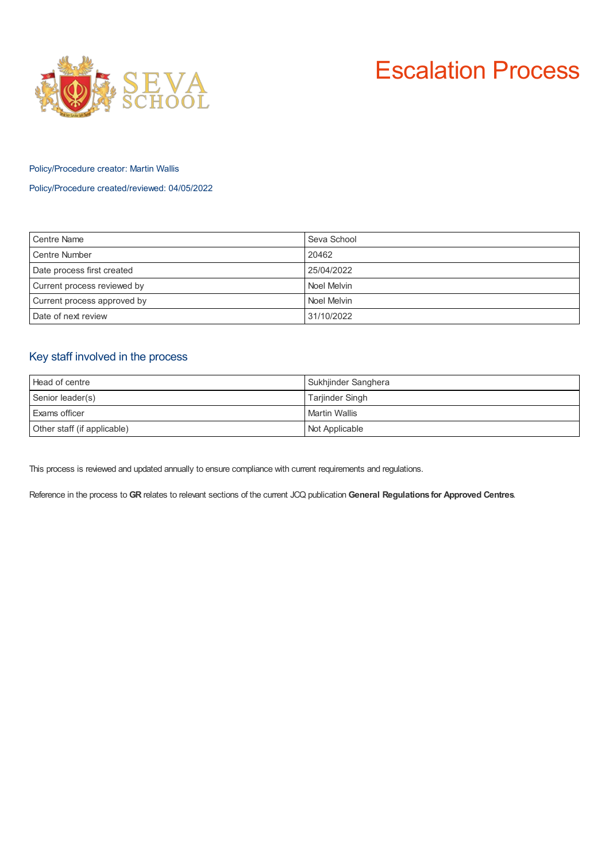



### Policy/Procedure creator: Martin Wallis

Policy/Procedure created/reviewed: 04/05/2022

| <b>Centre Name</b>          | Seva School |
|-----------------------------|-------------|
| <b>Centre Number</b>        | 20462       |
| Date process first created  | 25/04/2022  |
| Current process reviewed by | Noel Melvin |
| Current process approved by | Noel Melvin |
| Date of next review         | 31/10/2022  |

# Key staff involved in the process

| Head of centre              | Sukhjinder Sanghera  |
|-----------------------------|----------------------|
| Senior leader(s)            | Tarjinder Singh      |
| Exams officer               | <b>Martin Wallis</b> |
| Other staff (if applicable) | Not Applicable       |

This process is reviewed and updated annually to ensure compliance with current requirements and regulations.

Reference in the process to **GR** relates to relevant sections of the current JCQ publication **General Regulations for Approved Centres**.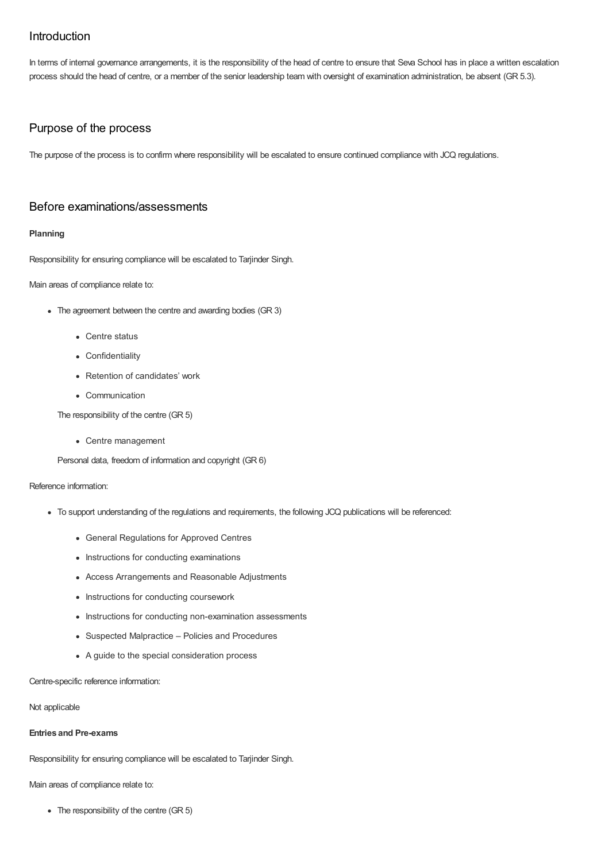# Introduction

In terms of internal governance arrangements, it is the responsibility of the head of centre to ensure that Seva School has in place a written escalation process should the head of centre, or a member of the senior leadership team with oversight of examination administration, be absent (GR 5.3).

# Purpose of the process

The purpose of the process is to confirm where responsibility will be escalated to ensure continued compliance with JCQ regulations.

## Before examinations/assessments

#### **Planning**

Responsibility for ensuring compliance will be escalated to Tarjinder Singh.

Main areas of compliance relate to:

- The agreement between the centre and awarding bodies (GR 3)
	- Centre status
	- Confidentiality
	- Retention of candidates' work
	- Communication

The responsibility of the centre (GR 5)

Centre management

Personal data, freedom of information and copyright (GR 6)

#### Reference information:

- To support understanding of the regulations and requirements, the following JCQ publications will be referenced:
	- General Regulations for Approved Centres
	- Instructions for conducting examinations
	- Access Arrangements and Reasonable Adjustments
	- Instructions for conducting coursework
	- Instructions for conducting non-examination assessments
	- Suspected Malpractice Policies and Procedures
	- A guide to the special consideration process

Centre-specific reference information:

#### Not applicable

### **Entries and Pre-exams**

Responsibility for ensuring compliance will be escalated to Tarjinder Singh.

Main areas of compliance relate to:

• The responsibility of the centre (GR 5)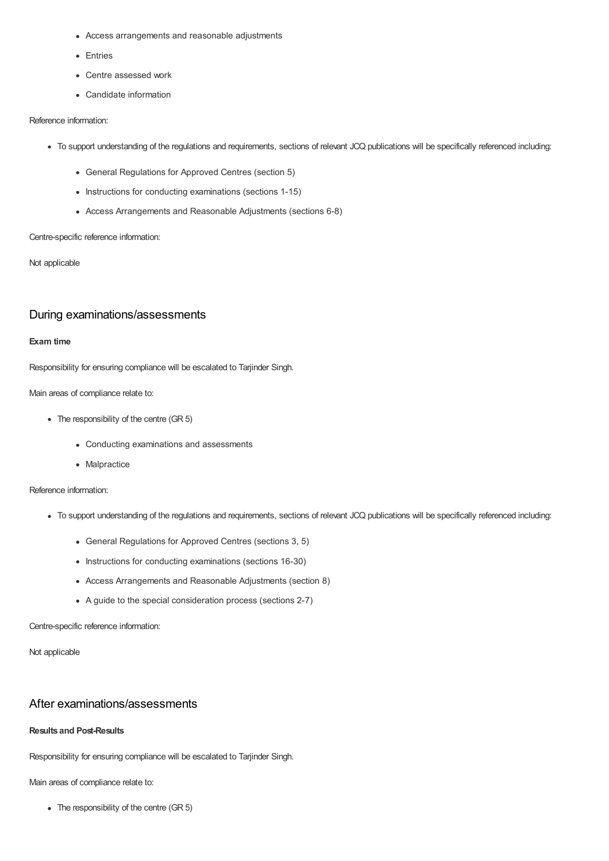- Access arrangements and reasonable adjustments
- Entries
- Centre assessed work
- Candidate information

#### Reference information:

- To support understanding of the regulations and requirements, sections of relevant JCQ publications will be specifically referenced including:
	- General Regulations for Approved Centres (section 5)
	- Instructions for conducting examinations (sections 1-15)
	- Access Arrangements and Reasonable Adjustments (sections 6-8)

#### Centre-specific reference information:

Not applicable

## During examinations/assessments

#### **Exam time**

Responsibility for ensuring compliance will be escalated to Tarjinder Singh.

Main areas of compliance relate to:

- The responsibility of the centre (GR 5)
	- Conducting examinations and assessments
	- Malpractice

Reference information:

- To support understanding of the regulations and requirements, sections of relevant JCQ publications will be specifically referenced including:
	- General Regulations for Approved Centres (sections 3, 5)
	- Instructions for conducting examinations (sections 16-30)
	- Access Arrangements and Reasonable Adjustments (section 8)
	- A guide to the special consideration process (sections 2-7)

Centre-specific reference information:

Not applicable

## After examinations/assessments

### **Results and Post-Results**

Responsibility for ensuring compliance will be escalated to Tarjinder Singh.

Main areas of compliance relate to:

The responsibility of the centre (GR 5)